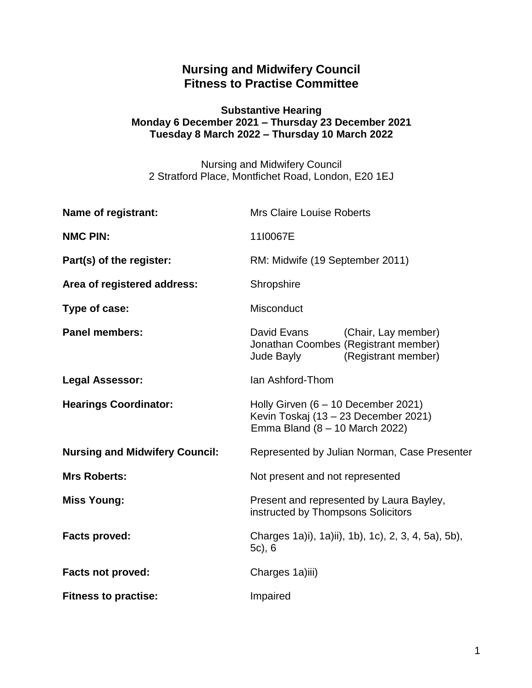## **Nursing and Midwifery Council Fitness to Practise Committee**

### **Substantive Hearing Monday 6 December 2021 – Thursday 23 December 2021 Tuesday 8 March 2022 – Thursday 10 March 2022**

Nursing and Midwifery Council 2 Stratford Place, Montfichet Road, London, E20 1EJ

| <b>Name of registrant:</b>            | <b>Mrs Claire Louise Roberts</b>                                                                                |
|---------------------------------------|-----------------------------------------------------------------------------------------------------------------|
| <b>NMC PIN:</b>                       | 11I0067E                                                                                                        |
| Part(s) of the register:              | RM: Midwife (19 September 2011)                                                                                 |
| Area of registered address:           | Shropshire                                                                                                      |
| Type of case:                         | Misconduct                                                                                                      |
| <b>Panel members:</b>                 | David Evans<br>(Chair, Lay member)<br>Jonathan Coombes (Registrant member)<br>(Registrant member)<br>Jude Bayly |
| <b>Legal Assessor:</b>                | Ian Ashford-Thom                                                                                                |
| <b>Hearings Coordinator:</b>          | Holly Girven $(6 - 10$ December 2021)<br>Kevin Toskaj (13 – 23 December 2021)<br>Emma Bland (8 - 10 March 2022) |
| <b>Nursing and Midwifery Council:</b> | Represented by Julian Norman, Case Presenter                                                                    |
| <b>Mrs Roberts:</b>                   | Not present and not represented                                                                                 |
| <b>Miss Young:</b>                    | Present and represented by Laura Bayley,<br>instructed by Thompsons Solicitors                                  |
| <b>Facts proved:</b>                  | Charges 1a)i), 1a)ii), 1b), 1c), 2, 3, 4, 5a), 5b),<br>$5c$ , 6                                                 |
| <b>Facts not proved:</b>              | Charges 1a)iii)                                                                                                 |
| <b>Fitness to practise:</b>           | Impaired                                                                                                        |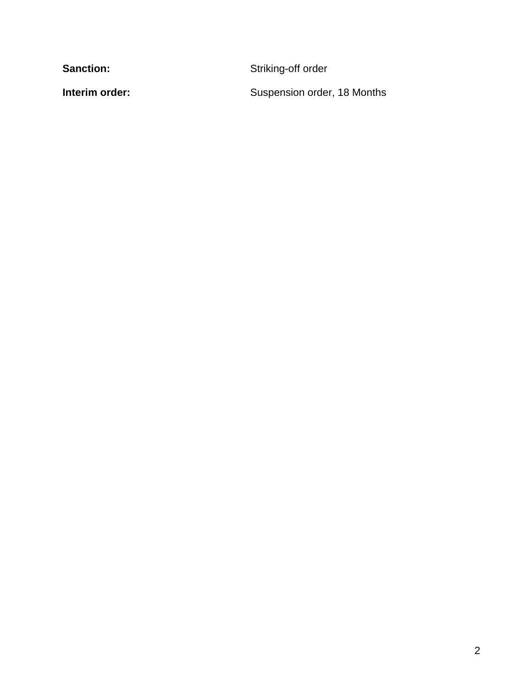Sanction: **Sanction:** Striking-off order

**Interim order:** Suspension order, 18 Months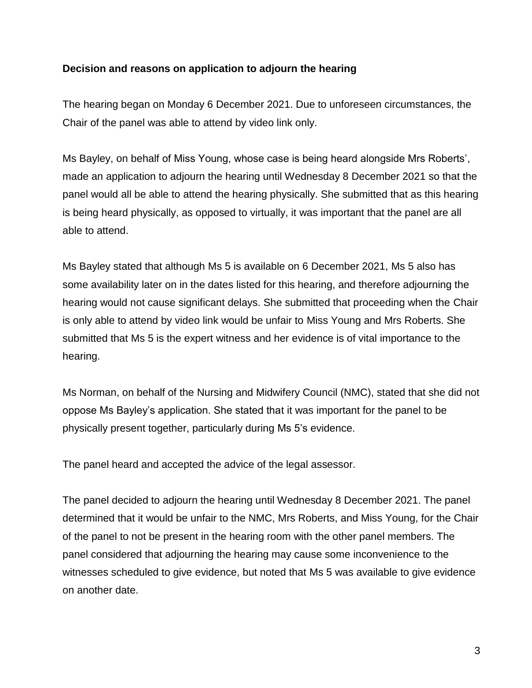### **Decision and reasons on application to adjourn the hearing**

The hearing began on Monday 6 December 2021. Due to unforeseen circumstances, the Chair of the panel was able to attend by video link only.

Ms Bayley, on behalf of Miss Young, whose case is being heard alongside Mrs Roberts', made an application to adjourn the hearing until Wednesday 8 December 2021 so that the panel would all be able to attend the hearing physically. She submitted that as this hearing is being heard physically, as opposed to virtually, it was important that the panel are all able to attend.

Ms Bayley stated that although Ms 5 is available on 6 December 2021, Ms 5 also has some availability later on in the dates listed for this hearing, and therefore adjourning the hearing would not cause significant delays. She submitted that proceeding when the Chair is only able to attend by video link would be unfair to Miss Young and Mrs Roberts. She submitted that Ms 5 is the expert witness and her evidence is of vital importance to the hearing.

Ms Norman, on behalf of the Nursing and Midwifery Council (NMC), stated that she did not oppose Ms Bayley's application. She stated that it was important for the panel to be physically present together, particularly during Ms 5's evidence.

The panel heard and accepted the advice of the legal assessor.

The panel decided to adjourn the hearing until Wednesday 8 December 2021. The panel determined that it would be unfair to the NMC, Mrs Roberts, and Miss Young, for the Chair of the panel to not be present in the hearing room with the other panel members. The panel considered that adjourning the hearing may cause some inconvenience to the witnesses scheduled to give evidence, but noted that Ms 5 was available to give evidence on another date.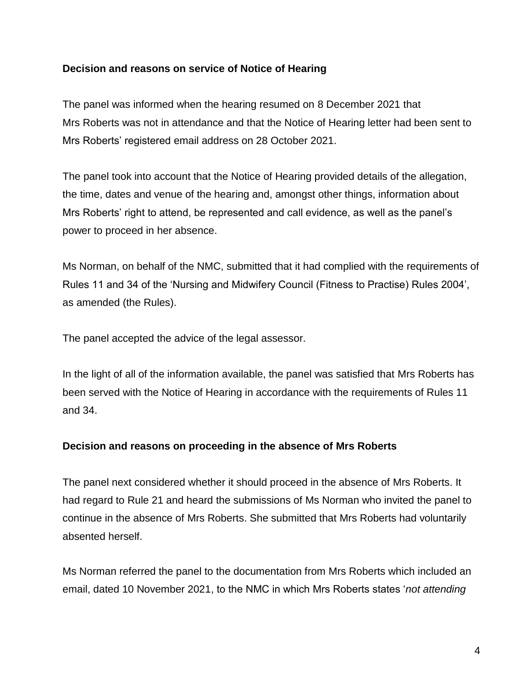### **Decision and reasons on service of Notice of Hearing**

The panel was informed when the hearing resumed on 8 December 2021 that Mrs Roberts was not in attendance and that the Notice of Hearing letter had been sent to Mrs Roberts' registered email address on 28 October 2021.

The panel took into account that the Notice of Hearing provided details of the allegation, the time, dates and venue of the hearing and, amongst other things, information about Mrs Roberts' right to attend, be represented and call evidence, as well as the panel's power to proceed in her absence.

Ms Norman, on behalf of the NMC, submitted that it had complied with the requirements of Rules 11 and 34 of the 'Nursing and Midwifery Council (Fitness to Practise) Rules 2004', as amended (the Rules).

The panel accepted the advice of the legal assessor.

In the light of all of the information available, the panel was satisfied that Mrs Roberts has been served with the Notice of Hearing in accordance with the requirements of Rules 11 and 34.

## **Decision and reasons on proceeding in the absence of Mrs Roberts**

The panel next considered whether it should proceed in the absence of Mrs Roberts. It had regard to Rule 21 and heard the submissions of Ms Norman who invited the panel to continue in the absence of Mrs Roberts. She submitted that Mrs Roberts had voluntarily absented herself.

Ms Norman referred the panel to the documentation from Mrs Roberts which included an email, dated 10 November 2021, to the NMC in which Mrs Roberts states '*not attending*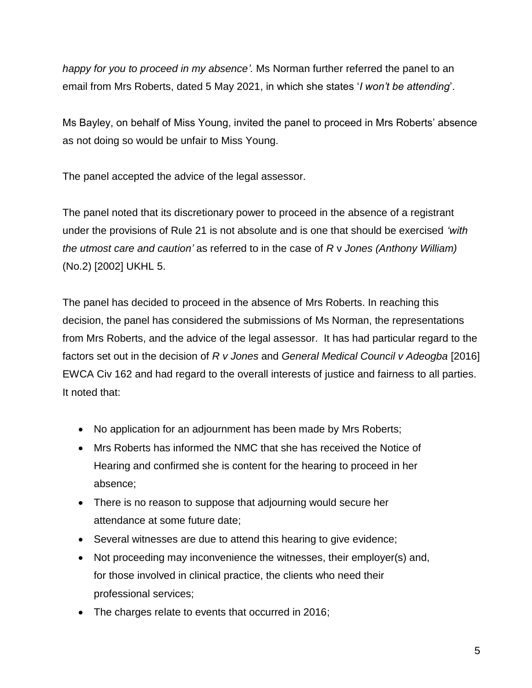*happy for you to proceed in my absence'.* Ms Norman further referred the panel to an email from Mrs Roberts, dated 5 May 2021, in which she states '*I won't be attending*'.

Ms Bayley, on behalf of Miss Young, invited the panel to proceed in Mrs Roberts' absence as not doing so would be unfair to Miss Young.

The panel accepted the advice of the legal assessor.

The panel noted that its discretionary power to proceed in the absence of a registrant under the provisions of Rule 21 is not absolute and is one that should be exercised *'with the utmost care and caution'* as referred to in the case of *R* v *Jones (Anthony William)* (No.2) [2002] UKHL 5.

The panel has decided to proceed in the absence of Mrs Roberts. In reaching this decision, the panel has considered the submissions of Ms Norman, the representations from Mrs Roberts, and the advice of the legal assessor. It has had particular regard to the factors set out in the decision of *R v Jones* and *General Medical Council v Adeogba* [2016] EWCA Civ 162 and had regard to the overall interests of justice and fairness to all parties. It noted that:

- No application for an adjournment has been made by Mrs Roberts;
- Mrs Roberts has informed the NMC that she has received the Notice of Hearing and confirmed she is content for the hearing to proceed in her absence;
- There is no reason to suppose that adjourning would secure her attendance at some future date;
- Several witnesses are due to attend this hearing to give evidence;
- Not proceeding may inconvenience the witnesses, their employer(s) and, for those involved in clinical practice, the clients who need their professional services;
- The charges relate to events that occurred in 2016;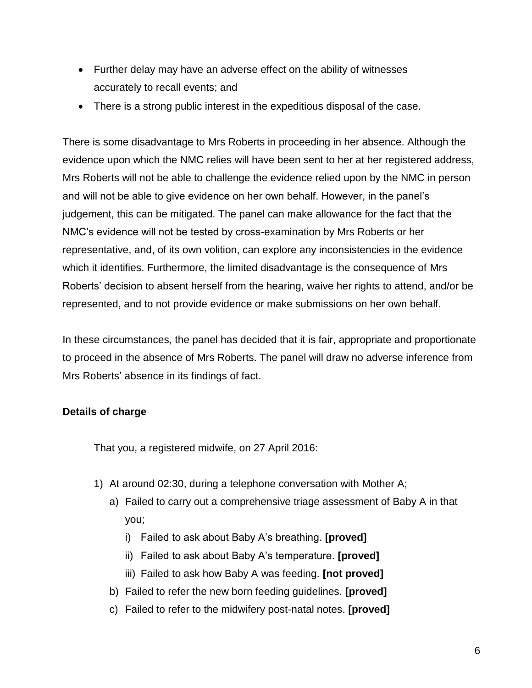- Further delay may have an adverse effect on the ability of witnesses accurately to recall events; and
- There is a strong public interest in the expeditious disposal of the case.

There is some disadvantage to Mrs Roberts in proceeding in her absence. Although the evidence upon which the NMC relies will have been sent to her at her registered address, Mrs Roberts will not be able to challenge the evidence relied upon by the NMC in person and will not be able to give evidence on her own behalf. However, in the panel's judgement, this can be mitigated. The panel can make allowance for the fact that the NMC's evidence will not be tested by cross-examination by Mrs Roberts or her representative, and, of its own volition, can explore any inconsistencies in the evidence which it identifies. Furthermore, the limited disadvantage is the consequence of Mrs Roberts' decision to absent herself from the hearing, waive her rights to attend, and/or be represented, and to not provide evidence or make submissions on her own behalf.

In these circumstances, the panel has decided that it is fair, appropriate and proportionate to proceed in the absence of Mrs Roberts. The panel will draw no adverse inference from Mrs Roberts' absence in its findings of fact.

## **Details of charge**

That you, a registered midwife, on 27 April 2016:

- 1) At around 02:30, during a telephone conversation with Mother A;
	- a) Failed to carry out a comprehensive triage assessment of Baby A in that you;
		- i) Failed to ask about Baby A's breathing. **[proved]**
		- ii) Failed to ask about Baby A's temperature. **[proved]**
		- iii) Failed to ask how Baby A was feeding. **[not proved]**
	- b) Failed to refer the new born feeding guidelines. **[proved]**
	- c) Failed to refer to the midwifery post-natal notes. **[proved]**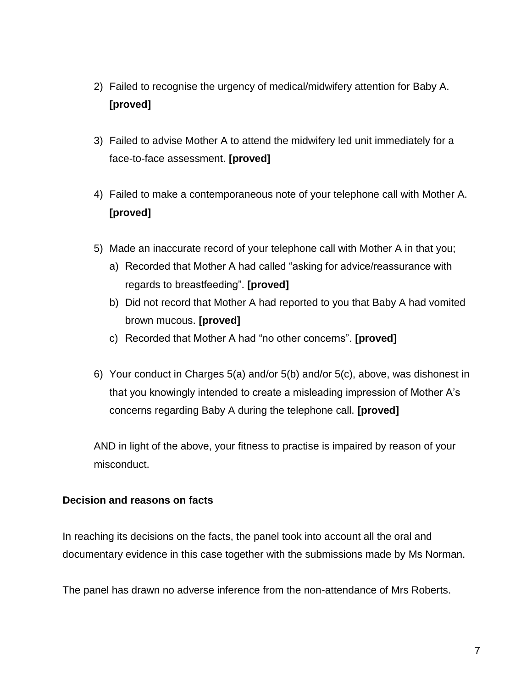- 2) Failed to recognise the urgency of medical/midwifery attention for Baby A. **[proved]**
- 3) Failed to advise Mother A to attend the midwifery led unit immediately for a face-to-face assessment. **[proved]**
- 4) Failed to make a contemporaneous note of your telephone call with Mother A. **[proved]**
- 5) Made an inaccurate record of your telephone call with Mother A in that you;
	- a) Recorded that Mother A had called "asking for advice/reassurance with regards to breastfeeding". **[proved]**
	- b) Did not record that Mother A had reported to you that Baby A had vomited brown mucous. **[proved]**
	- c) Recorded that Mother A had "no other concerns". **[proved]**
- 6) Your conduct in Charges 5(a) and/or 5(b) and/or 5(c), above, was dishonest in that you knowingly intended to create a misleading impression of Mother A's concerns regarding Baby A during the telephone call. **[proved]**

AND in light of the above, your fitness to practise is impaired by reason of your misconduct.

## **Decision and reasons on facts**

In reaching its decisions on the facts, the panel took into account all the oral and documentary evidence in this case together with the submissions made by Ms Norman.

The panel has drawn no adverse inference from the non-attendance of Mrs Roberts.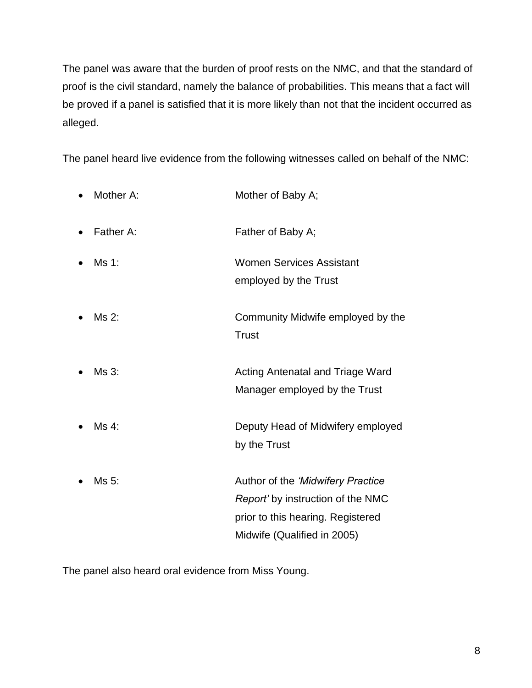The panel was aware that the burden of proof rests on the NMC, and that the standard of proof is the civil standard, namely the balance of probabilities. This means that a fact will be proved if a panel is satisfied that it is more likely than not that the incident occurred as alleged.

The panel heard live evidence from the following witnesses called on behalf of the NMC:

| Mother A: | Mother of Baby A;                                                                                                                          |
|-----------|--------------------------------------------------------------------------------------------------------------------------------------------|
| Father A: | Father of Baby A;                                                                                                                          |
| Ms 1:     | <b>Women Services Assistant</b><br>employed by the Trust                                                                                   |
| Ms 2:     | Community Midwife employed by the<br><b>Trust</b>                                                                                          |
| Ms 3:     | <b>Acting Antenatal and Triage Ward</b><br>Manager employed by the Trust                                                                   |
| Ms 4:     | Deputy Head of Midwifery employed<br>by the Trust                                                                                          |
| Ms 5:     | Author of the 'Midwifery Practice<br>Report' by instruction of the NMC<br>prior to this hearing. Registered<br>Midwife (Qualified in 2005) |

The panel also heard oral evidence from Miss Young.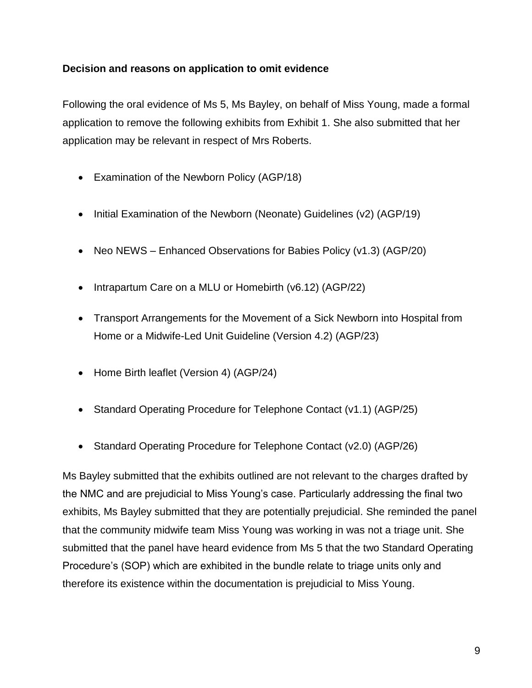## **Decision and reasons on application to omit evidence**

Following the oral evidence of Ms 5, Ms Bayley, on behalf of Miss Young, made a formal application to remove the following exhibits from Exhibit 1. She also submitted that her application may be relevant in respect of Mrs Roberts.

- Examination of the Newborn Policy (AGP/18)
- Initial Examination of the Newborn (Neonate) Guidelines (v2) (AGP/19)
- Neo NEWS Enhanced Observations for Babies Policy (v1.3) (AGP/20)
- Intrapartum Care on a MLU or Homebirth (v6.12) (AGP/22)
- Transport Arrangements for the Movement of a Sick Newborn into Hospital from Home or a Midwife-Led Unit Guideline (Version 4.2) (AGP/23)
- Home Birth leaflet (Version 4) (AGP/24)
- Standard Operating Procedure for Telephone Contact (v1.1) (AGP/25)
- Standard Operating Procedure for Telephone Contact (v2.0) (AGP/26)

Ms Bayley submitted that the exhibits outlined are not relevant to the charges drafted by the NMC and are prejudicial to Miss Young's case. Particularly addressing the final two exhibits, Ms Bayley submitted that they are potentially prejudicial. She reminded the panel that the community midwife team Miss Young was working in was not a triage unit. She submitted that the panel have heard evidence from Ms 5 that the two Standard Operating Procedure's (SOP) which are exhibited in the bundle relate to triage units only and therefore its existence within the documentation is prejudicial to Miss Young.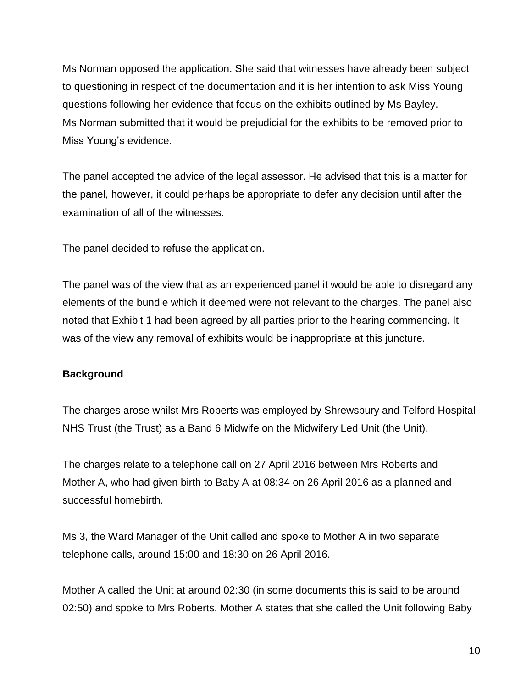Ms Norman opposed the application. She said that witnesses have already been subject to questioning in respect of the documentation and it is her intention to ask Miss Young questions following her evidence that focus on the exhibits outlined by Ms Bayley. Ms Norman submitted that it would be prejudicial for the exhibits to be removed prior to Miss Young's evidence.

The panel accepted the advice of the legal assessor. He advised that this is a matter for the panel, however, it could perhaps be appropriate to defer any decision until after the examination of all of the witnesses.

The panel decided to refuse the application.

The panel was of the view that as an experienced panel it would be able to disregard any elements of the bundle which it deemed were not relevant to the charges. The panel also noted that Exhibit 1 had been agreed by all parties prior to the hearing commencing. It was of the view any removal of exhibits would be inappropriate at this juncture.

## **Background**

The charges arose whilst Mrs Roberts was employed by Shrewsbury and Telford Hospital NHS Trust (the Trust) as a Band 6 Midwife on the Midwifery Led Unit (the Unit).

The charges relate to a telephone call on 27 April 2016 between Mrs Roberts and Mother A, who had given birth to Baby A at 08:34 on 26 April 2016 as a planned and successful homebirth.

Ms 3, the Ward Manager of the Unit called and spoke to Mother A in two separate telephone calls, around 15:00 and 18:30 on 26 April 2016.

Mother A called the Unit at around 02:30 (in some documents this is said to be around 02:50) and spoke to Mrs Roberts. Mother A states that she called the Unit following Baby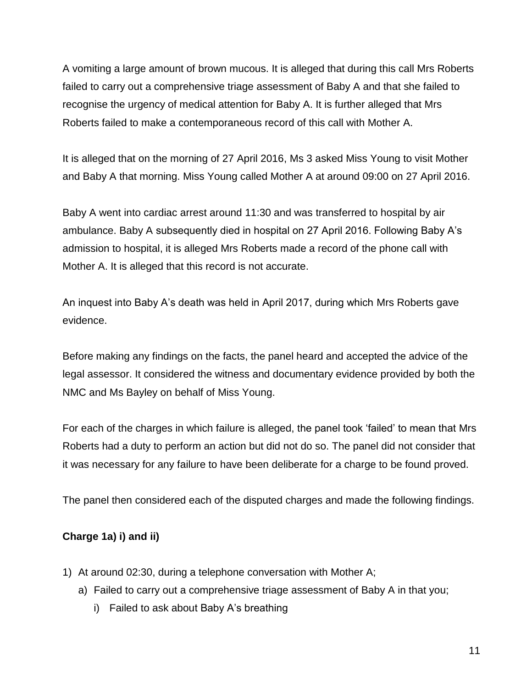A vomiting a large amount of brown mucous. It is alleged that during this call Mrs Roberts failed to carry out a comprehensive triage assessment of Baby A and that she failed to recognise the urgency of medical attention for Baby A. It is further alleged that Mrs Roberts failed to make a contemporaneous record of this call with Mother A.

It is alleged that on the morning of 27 April 2016, Ms 3 asked Miss Young to visit Mother and Baby A that morning. Miss Young called Mother A at around 09:00 on 27 April 2016.

Baby A went into cardiac arrest around 11:30 and was transferred to hospital by air ambulance. Baby A subsequently died in hospital on 27 April 2016. Following Baby A's admission to hospital, it is alleged Mrs Roberts made a record of the phone call with Mother A. It is alleged that this record is not accurate.

An inquest into Baby A's death was held in April 2017, during which Mrs Roberts gave evidence.

Before making any findings on the facts, the panel heard and accepted the advice of the legal assessor. It considered the witness and documentary evidence provided by both the NMC and Ms Bayley on behalf of Miss Young.

For each of the charges in which failure is alleged, the panel took 'failed' to mean that Mrs Roberts had a duty to perform an action but did not do so. The panel did not consider that it was necessary for any failure to have been deliberate for a charge to be found proved.

The panel then considered each of the disputed charges and made the following findings.

## **Charge 1a) i) and ii)**

- 1) At around 02:30, during a telephone conversation with Mother A;
	- a) Failed to carry out a comprehensive triage assessment of Baby A in that you;
		- i) Failed to ask about Baby A's breathing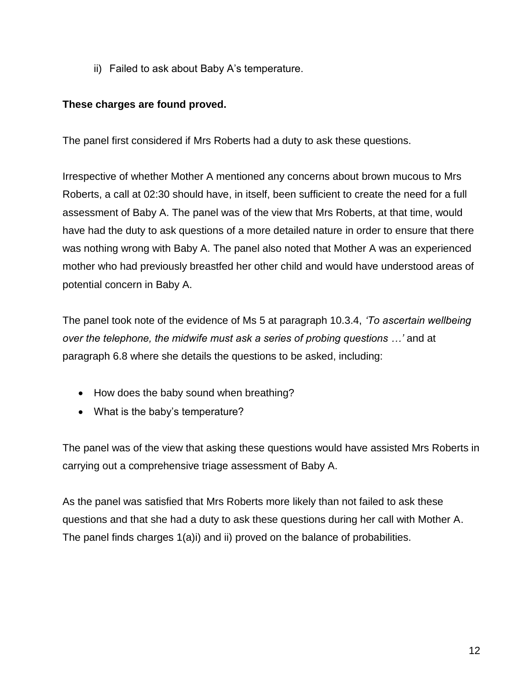ii) Failed to ask about Baby A's temperature.

## **These charges are found proved.**

The panel first considered if Mrs Roberts had a duty to ask these questions.

Irrespective of whether Mother A mentioned any concerns about brown mucous to Mrs Roberts, a call at 02:30 should have, in itself, been sufficient to create the need for a full assessment of Baby A. The panel was of the view that Mrs Roberts, at that time, would have had the duty to ask questions of a more detailed nature in order to ensure that there was nothing wrong with Baby A. The panel also noted that Mother A was an experienced mother who had previously breastfed her other child and would have understood areas of potential concern in Baby A.

The panel took note of the evidence of Ms 5 at paragraph 10.3.4, *'To ascertain wellbeing over the telephone, the midwife must ask a series of probing questions …'* and at paragraph 6.8 where she details the questions to be asked, including:

- How does the baby sound when breathing?
- What is the baby's temperature?

The panel was of the view that asking these questions would have assisted Mrs Roberts in carrying out a comprehensive triage assessment of Baby A.

As the panel was satisfied that Mrs Roberts more likely than not failed to ask these questions and that she had a duty to ask these questions during her call with Mother A. The panel finds charges 1(a)i) and ii) proved on the balance of probabilities.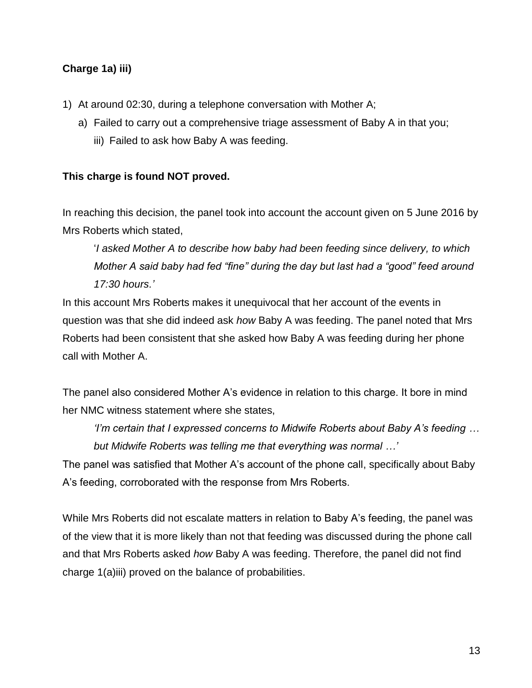## **Charge 1a) iii)**

- 1) At around 02:30, during a telephone conversation with Mother A;
	- a) Failed to carry out a comprehensive triage assessment of Baby A in that you;
		- iii) Failed to ask how Baby A was feeding.

## **This charge is found NOT proved.**

In reaching this decision, the panel took into account the account given on 5 June 2016 by Mrs Roberts which stated,

'*I asked Mother A to describe how baby had been feeding since delivery, to which Mother A said baby had fed "fine" during the day but last had a "good" feed around 17:30 hours.'*

In this account Mrs Roberts makes it unequivocal that her account of the events in question was that she did indeed ask *how* Baby A was feeding. The panel noted that Mrs Roberts had been consistent that she asked how Baby A was feeding during her phone call with Mother A.

The panel also considered Mother A's evidence in relation to this charge. It bore in mind her NMC witness statement where she states,

*'I'm certain that I expressed concerns to Midwife Roberts about Baby A's feeding … but Midwife Roberts was telling me that everything was normal …'*

The panel was satisfied that Mother A's account of the phone call, specifically about Baby A's feeding, corroborated with the response from Mrs Roberts.

While Mrs Roberts did not escalate matters in relation to Baby A's feeding, the panel was of the view that it is more likely than not that feeding was discussed during the phone call and that Mrs Roberts asked *how* Baby A was feeding. Therefore, the panel did not find charge 1(a)iii) proved on the balance of probabilities.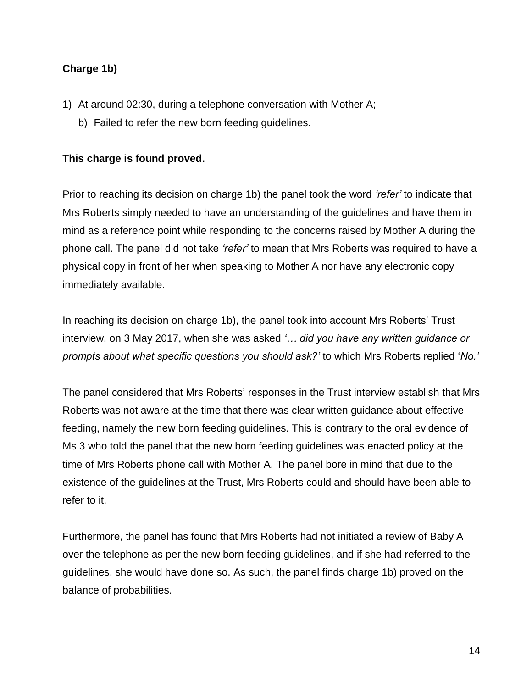## **Charge 1b)**

- 1) At around 02:30, during a telephone conversation with Mother A;
	- b) Failed to refer the new born feeding guidelines.

## **This charge is found proved.**

Prior to reaching its decision on charge 1b) the panel took the word *'refer'* to indicate that Mrs Roberts simply needed to have an understanding of the guidelines and have them in mind as a reference point while responding to the concerns raised by Mother A during the phone call. The panel did not take *'refer'* to mean that Mrs Roberts was required to have a physical copy in front of her when speaking to Mother A nor have any electronic copy immediately available.

In reaching its decision on charge 1b), the panel took into account Mrs Roberts' Trust interview, on 3 May 2017, when she was asked *'… did you have any written guidance or prompts about what specific questions you should ask?'* to which Mrs Roberts replied '*No.'*

The panel considered that Mrs Roberts' responses in the Trust interview establish that Mrs Roberts was not aware at the time that there was clear written guidance about effective feeding, namely the new born feeding guidelines. This is contrary to the oral evidence of Ms 3 who told the panel that the new born feeding guidelines was enacted policy at the time of Mrs Roberts phone call with Mother A. The panel bore in mind that due to the existence of the guidelines at the Trust, Mrs Roberts could and should have been able to refer to it.

Furthermore, the panel has found that Mrs Roberts had not initiated a review of Baby A over the telephone as per the new born feeding guidelines, and if she had referred to the guidelines, she would have done so. As such, the panel finds charge 1b) proved on the balance of probabilities.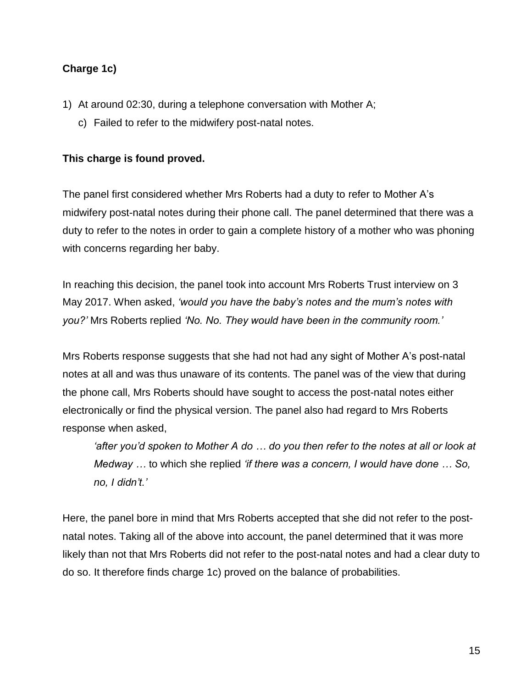## **Charge 1c)**

- 1) At around 02:30, during a telephone conversation with Mother A;
	- c) Failed to refer to the midwifery post-natal notes.

### **This charge is found proved.**

The panel first considered whether Mrs Roberts had a duty to refer to Mother A's midwifery post-natal notes during their phone call. The panel determined that there was a duty to refer to the notes in order to gain a complete history of a mother who was phoning with concerns regarding her baby.

In reaching this decision, the panel took into account Mrs Roberts Trust interview on 3 May 2017. When asked, *'would you have the baby's notes and the mum's notes with you?'* Mrs Roberts replied *'No. No. They would have been in the community room.'* 

Mrs Roberts response suggests that she had not had any sight of Mother A's post-natal notes at all and was thus unaware of its contents. The panel was of the view that during the phone call, Mrs Roberts should have sought to access the post-natal notes either electronically or find the physical version. The panel also had regard to Mrs Roberts response when asked,

*'after you'd spoken to Mother A do … do you then refer to the notes at all or look at Medway …* to which she replied *'if there was a concern, I would have done … So, no, I didn't.'*

Here, the panel bore in mind that Mrs Roberts accepted that she did not refer to the postnatal notes. Taking all of the above into account, the panel determined that it was more likely than not that Mrs Roberts did not refer to the post-natal notes and had a clear duty to do so. It therefore finds charge 1c) proved on the balance of probabilities.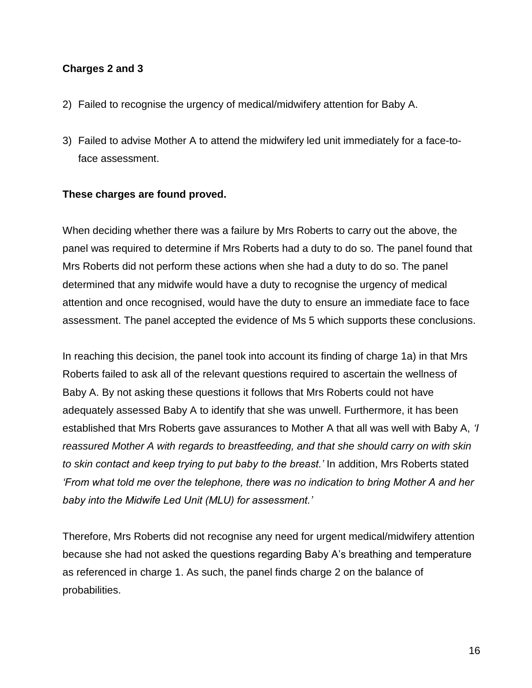### **Charges 2 and 3**

- 2) Failed to recognise the urgency of medical/midwifery attention for Baby A.
- 3) Failed to advise Mother A to attend the midwifery led unit immediately for a face-toface assessment.

### **These charges are found proved.**

When deciding whether there was a failure by Mrs Roberts to carry out the above, the panel was required to determine if Mrs Roberts had a duty to do so. The panel found that Mrs Roberts did not perform these actions when she had a duty to do so. The panel determined that any midwife would have a duty to recognise the urgency of medical attention and once recognised, would have the duty to ensure an immediate face to face assessment. The panel accepted the evidence of Ms 5 which supports these conclusions.

In reaching this decision, the panel took into account its finding of charge 1a) in that Mrs Roberts failed to ask all of the relevant questions required to ascertain the wellness of Baby A. By not asking these questions it follows that Mrs Roberts could not have adequately assessed Baby A to identify that she was unwell. Furthermore, it has been established that Mrs Roberts gave assurances to Mother A that all was well with Baby A, *'I reassured Mother A with regards to breastfeeding, and that she should carry on with skin to skin contact and keep trying to put baby to the breast.'* In addition, Mrs Roberts stated *'From what told me over the telephone, there was no indication to bring Mother A and her baby into the Midwife Led Unit (MLU) for assessment.'*

Therefore, Mrs Roberts did not recognise any need for urgent medical/midwifery attention because she had not asked the questions regarding Baby A's breathing and temperature as referenced in charge 1. As such, the panel finds charge 2 on the balance of probabilities.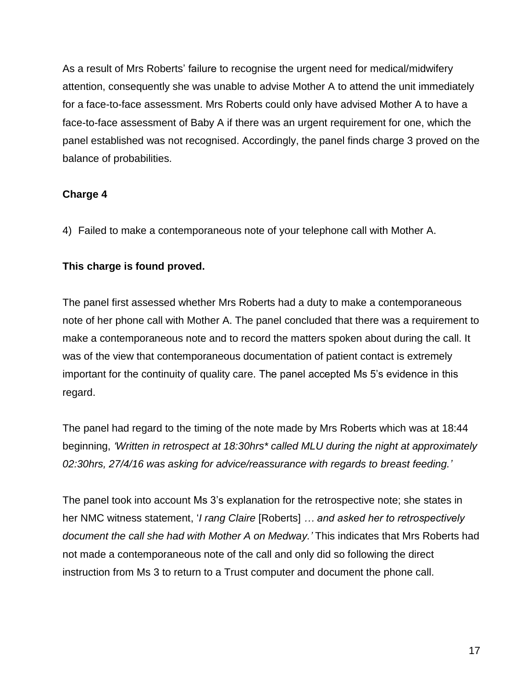As a result of Mrs Roberts' failure to recognise the urgent need for medical/midwifery attention, consequently she was unable to advise Mother A to attend the unit immediately for a face-to-face assessment. Mrs Roberts could only have advised Mother A to have a face-to-face assessment of Baby A if there was an urgent requirement for one, which the panel established was not recognised. Accordingly, the panel finds charge 3 proved on the balance of probabilities.

## **Charge 4**

4) Failed to make a contemporaneous note of your telephone call with Mother A.

## **This charge is found proved.**

The panel first assessed whether Mrs Roberts had a duty to make a contemporaneous note of her phone call with Mother A. The panel concluded that there was a requirement to make a contemporaneous note and to record the matters spoken about during the call. It was of the view that contemporaneous documentation of patient contact is extremely important for the continuity of quality care. The panel accepted Ms 5's evidence in this regard.

The panel had regard to the timing of the note made by Mrs Roberts which was at 18:44 beginning, *'Written in retrospect at 18:30hrs\* called MLU during the night at approximately 02:30hrs, 27/4/16 was asking for advice/reassurance with regards to breast feeding.'*

The panel took into account Ms 3's explanation for the retrospective note; she states in her NMC witness statement, '*I rang Claire* [Roberts] *… and asked her to retrospectively document the call she had with Mother A on Medway.'* This indicates that Mrs Roberts had not made a contemporaneous note of the call and only did so following the direct instruction from Ms 3 to return to a Trust computer and document the phone call.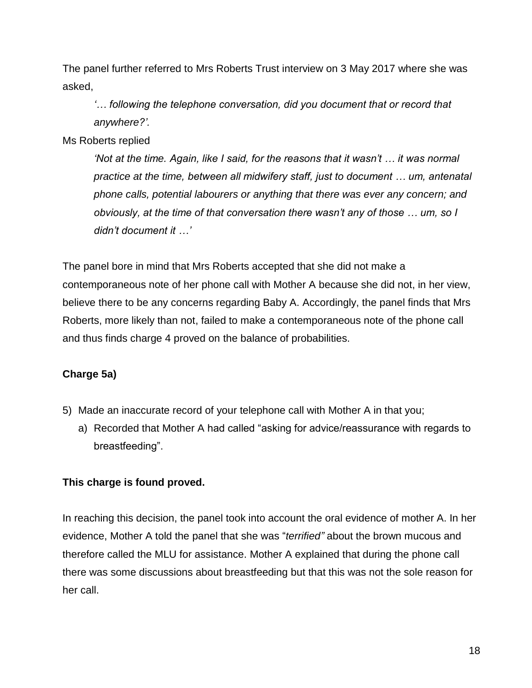The panel further referred to Mrs Roberts Trust interview on 3 May 2017 where she was asked,

*'… following the telephone conversation, did you document that or record that anywhere?'.*

Ms Roberts replied

*'Not at the time. Again, like I said, for the reasons that it wasn't … it was normal practice at the time, between all midwifery staff, just to document … um, antenatal phone calls, potential labourers or anything that there was ever any concern; and obviously, at the time of that conversation there wasn't any of those … um, so I didn't document it …'*

The panel bore in mind that Mrs Roberts accepted that she did not make a contemporaneous note of her phone call with Mother A because she did not, in her view, believe there to be any concerns regarding Baby A. Accordingly, the panel finds that Mrs Roberts, more likely than not, failed to make a contemporaneous note of the phone call and thus finds charge 4 proved on the balance of probabilities.

## **Charge 5a)**

- 5) Made an inaccurate record of your telephone call with Mother A in that you;
	- a) Recorded that Mother A had called "asking for advice/reassurance with regards to breastfeeding".

## **This charge is found proved.**

In reaching this decision, the panel took into account the oral evidence of mother A. In her evidence, Mother A told the panel that she was "*terrified"* about the brown mucous and therefore called the MLU for assistance. Mother A explained that during the phone call there was some discussions about breastfeeding but that this was not the sole reason for her call.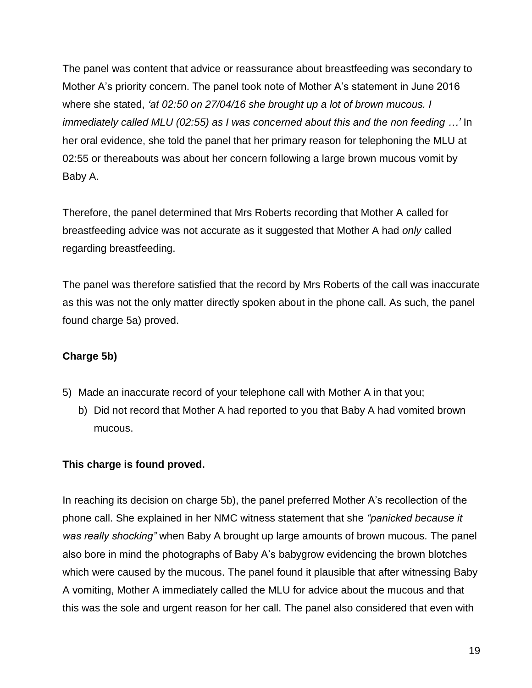The panel was content that advice or reassurance about breastfeeding was secondary to Mother A's priority concern. The panel took note of Mother A's statement in June 2016 where she stated, *'at 02:50 on 27/04/16 she brought up a lot of brown mucous. I immediately called MLU (02:55) as I was concerned about this and the non feeding …'* In her oral evidence, she told the panel that her primary reason for telephoning the MLU at 02:55 or thereabouts was about her concern following a large brown mucous vomit by Baby A.

Therefore, the panel determined that Mrs Roberts recording that Mother A called for breastfeeding advice was not accurate as it suggested that Mother A had *only* called regarding breastfeeding.

The panel was therefore satisfied that the record by Mrs Roberts of the call was inaccurate as this was not the only matter directly spoken about in the phone call. As such, the panel found charge 5a) proved.

## **Charge 5b)**

- 5) Made an inaccurate record of your telephone call with Mother A in that you;
	- b) Did not record that Mother A had reported to you that Baby A had vomited brown mucous.

## **This charge is found proved.**

In reaching its decision on charge 5b), the panel preferred Mother A's recollection of the phone call. She explained in her NMC witness statement that she *"panicked because it was really shocking"* when Baby A brought up large amounts of brown mucous. The panel also bore in mind the photographs of Baby A's babygrow evidencing the brown blotches which were caused by the mucous. The panel found it plausible that after witnessing Baby A vomiting, Mother A immediately called the MLU for advice about the mucous and that this was the sole and urgent reason for her call. The panel also considered that even with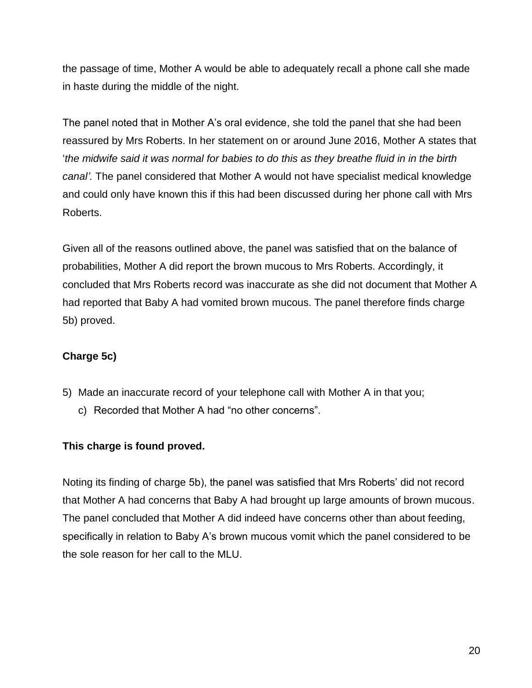the passage of time, Mother A would be able to adequately recall a phone call she made in haste during the middle of the night.

The panel noted that in Mother A's oral evidence, she told the panel that she had been reassured by Mrs Roberts. In her statement on or around June 2016, Mother A states that '*the midwife said it was normal for babies to do this as they breathe fluid in in the birth canal'.* The panel considered that Mother A would not have specialist medical knowledge and could only have known this if this had been discussed during her phone call with Mrs Roberts.

Given all of the reasons outlined above, the panel was satisfied that on the balance of probabilities, Mother A did report the brown mucous to Mrs Roberts. Accordingly, it concluded that Mrs Roberts record was inaccurate as she did not document that Mother A had reported that Baby A had vomited brown mucous. The panel therefore finds charge 5b) proved.

## **Charge 5c)**

- 5) Made an inaccurate record of your telephone call with Mother A in that you;
	- c) Recorded that Mother A had "no other concerns".

## **This charge is found proved.**

Noting its finding of charge 5b), the panel was satisfied that Mrs Roberts' did not record that Mother A had concerns that Baby A had brought up large amounts of brown mucous. The panel concluded that Mother A did indeed have concerns other than about feeding, specifically in relation to Baby A's brown mucous vomit which the panel considered to be the sole reason for her call to the MLU.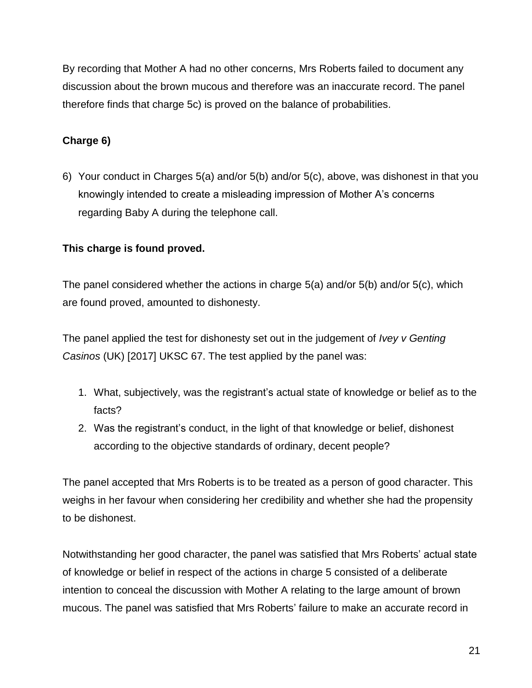By recording that Mother A had no other concerns, Mrs Roberts failed to document any discussion about the brown mucous and therefore was an inaccurate record. The panel therefore finds that charge 5c) is proved on the balance of probabilities.

## **Charge 6)**

6) Your conduct in Charges 5(a) and/or 5(b) and/or 5(c), above, was dishonest in that you knowingly intended to create a misleading impression of Mother A's concerns regarding Baby A during the telephone call.

## **This charge is found proved.**

The panel considered whether the actions in charge 5(a) and/or 5(b) and/or 5(c), which are found proved, amounted to dishonesty.

The panel applied the test for dishonesty set out in the judgement of *Ivey v Genting Casinos* (UK) [2017] UKSC 67. The test applied by the panel was:

- 1. What, subjectively, was the registrant's actual state of knowledge or belief as to the facts?
- 2. Was the registrant's conduct, in the light of that knowledge or belief, dishonest according to the objective standards of ordinary, decent people?

The panel accepted that Mrs Roberts is to be treated as a person of good character. This weighs in her favour when considering her credibility and whether she had the propensity to be dishonest.

Notwithstanding her good character, the panel was satisfied that Mrs Roberts' actual state of knowledge or belief in respect of the actions in charge 5 consisted of a deliberate intention to conceal the discussion with Mother A relating to the large amount of brown mucous. The panel was satisfied that Mrs Roberts' failure to make an accurate record in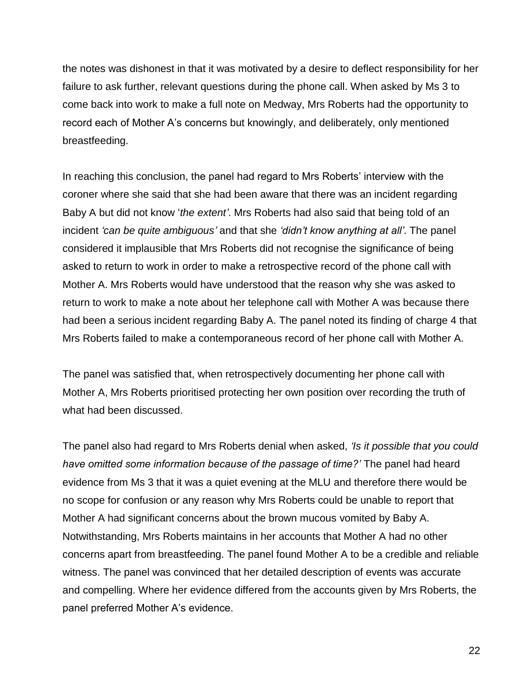the notes was dishonest in that it was motivated by a desire to deflect responsibility for her failure to ask further, relevant questions during the phone call. When asked by Ms 3 to come back into work to make a full note on Medway, Mrs Roberts had the opportunity to record each of Mother A's concerns but knowingly, and deliberately, only mentioned breastfeeding.

In reaching this conclusion, the panel had regard to Mrs Roberts' interview with the coroner where she said that she had been aware that there was an incident regarding Baby A but did not know '*the extent'*. Mrs Roberts had also said that being told of an incident *'can be quite ambiguous'* and that she *'didn't know anything at all'*. The panel considered it implausible that Mrs Roberts did not recognise the significance of being asked to return to work in order to make a retrospective record of the phone call with Mother A. Mrs Roberts would have understood that the reason why she was asked to return to work to make a note about her telephone call with Mother A was because there had been a serious incident regarding Baby A. The panel noted its finding of charge 4 that Mrs Roberts failed to make a contemporaneous record of her phone call with Mother A.

The panel was satisfied that, when retrospectively documenting her phone call with Mother A, Mrs Roberts prioritised protecting her own position over recording the truth of what had been discussed.

The panel also had regard to Mrs Roberts denial when asked, *'Is it possible that you could have omitted some information because of the passage of time?'* The panel had heard evidence from Ms 3 that it was a quiet evening at the MLU and therefore there would be no scope for confusion or any reason why Mrs Roberts could be unable to report that Mother A had significant concerns about the brown mucous vomited by Baby A. Notwithstanding, Mrs Roberts maintains in her accounts that Mother A had no other concerns apart from breastfeeding. The panel found Mother A to be a credible and reliable witness. The panel was convinced that her detailed description of events was accurate and compelling. Where her evidence differed from the accounts given by Mrs Roberts, the panel preferred Mother A's evidence.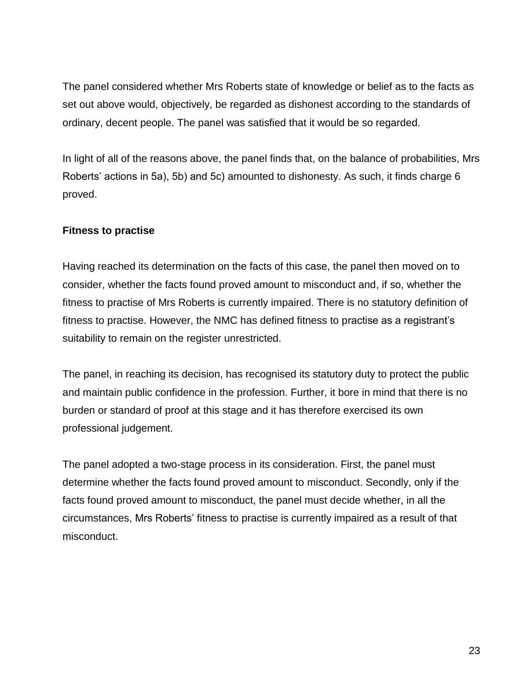The panel considered whether Mrs Roberts state of knowledge or belief as to the facts as set out above would, objectively, be regarded as dishonest according to the standards of ordinary, decent people. The panel was satisfied that it would be so regarded.

In light of all of the reasons above, the panel finds that, on the balance of probabilities, Mrs Roberts' actions in 5a), 5b) and 5c) amounted to dishonesty. As such, it finds charge 6 proved.

## **Fitness to practise**

Having reached its determination on the facts of this case, the panel then moved on to consider, whether the facts found proved amount to misconduct and, if so, whether the fitness to practise of Mrs Roberts is currently impaired. There is no statutory definition of fitness to practise. However, the NMC has defined fitness to practise as a registrant's suitability to remain on the register unrestricted.

The panel, in reaching its decision, has recognised its statutory duty to protect the public and maintain public confidence in the profession. Further, it bore in mind that there is no burden or standard of proof at this stage and it has therefore exercised its own professional judgement.

The panel adopted a two-stage process in its consideration. First, the panel must determine whether the facts found proved amount to misconduct. Secondly, only if the facts found proved amount to misconduct, the panel must decide whether, in all the circumstances, Mrs Roberts' fitness to practise is currently impaired as a result of that misconduct.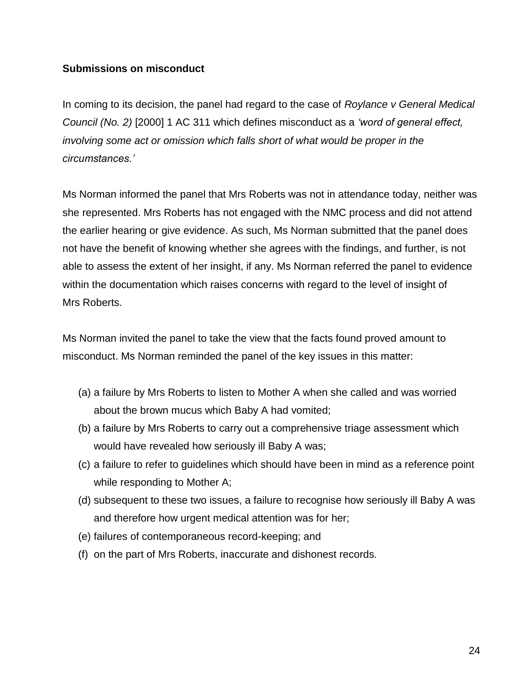### **Submissions on misconduct**

In coming to its decision, the panel had regard to the case of *Roylance v General Medical Council (No. 2)* [2000] 1 AC 311 which defines misconduct as a *'word of general effect, involving some act or omission which falls short of what would be proper in the circumstances.'*

Ms Norman informed the panel that Mrs Roberts was not in attendance today, neither was she represented. Mrs Roberts has not engaged with the NMC process and did not attend the earlier hearing or give evidence. As such, Ms Norman submitted that the panel does not have the benefit of knowing whether she agrees with the findings, and further, is not able to assess the extent of her insight, if any. Ms Norman referred the panel to evidence within the documentation which raises concerns with regard to the level of insight of Mrs Roberts.

Ms Norman invited the panel to take the view that the facts found proved amount to misconduct. Ms Norman reminded the panel of the key issues in this matter:

- (a) a failure by Mrs Roberts to listen to Mother A when she called and was worried about the brown mucus which Baby A had vomited;
- (b) a failure by Mrs Roberts to carry out a comprehensive triage assessment which would have revealed how seriously ill Baby A was;
- (c) a failure to refer to guidelines which should have been in mind as a reference point while responding to Mother A;
- (d) subsequent to these two issues, a failure to recognise how seriously ill Baby A was and therefore how urgent medical attention was for her;
- (e) failures of contemporaneous record-keeping; and
- (f) on the part of Mrs Roberts, inaccurate and dishonest records.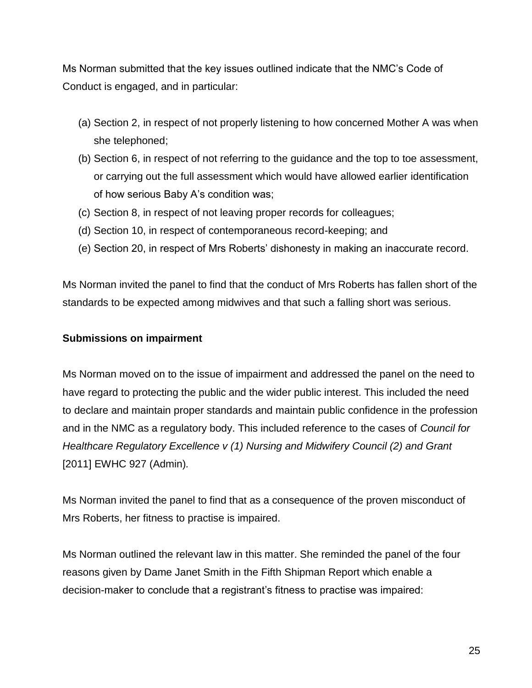Ms Norman submitted that the key issues outlined indicate that the NMC's Code of Conduct is engaged, and in particular:

- (a) Section 2, in respect of not properly listening to how concerned Mother A was when she telephoned;
- (b) Section 6, in respect of not referring to the guidance and the top to toe assessment, or carrying out the full assessment which would have allowed earlier identification of how serious Baby A's condition was;
- (c) Section 8, in respect of not leaving proper records for colleagues;
- (d) Section 10, in respect of contemporaneous record-keeping; and
- (e) Section 20, in respect of Mrs Roberts' dishonesty in making an inaccurate record.

Ms Norman invited the panel to find that the conduct of Mrs Roberts has fallen short of the standards to be expected among midwives and that such a falling short was serious.

### **Submissions on impairment**

Ms Norman moved on to the issue of impairment and addressed the panel on the need to have regard to protecting the public and the wider public interest. This included the need to declare and maintain proper standards and maintain public confidence in the profession and in the NMC as a regulatory body. This included reference to the cases of *Council for Healthcare Regulatory Excellence v (1) Nursing and Midwifery Council (2) and Grant*  [2011] EWHC 927 (Admin)*.*

Ms Norman invited the panel to find that as a consequence of the proven misconduct of Mrs Roberts, her fitness to practise is impaired.

Ms Norman outlined the relevant law in this matter. She reminded the panel of the four reasons given by Dame Janet Smith in the Fifth Shipman Report which enable a decision-maker to conclude that a registrant's fitness to practise was impaired: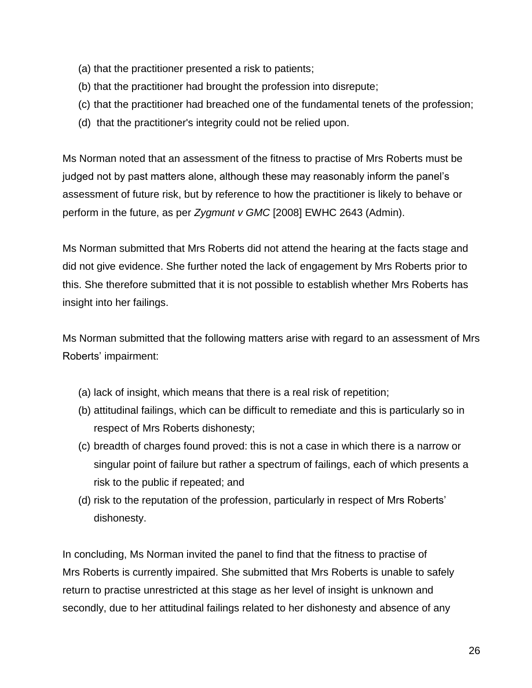- (a) that the practitioner presented a risk to patients;
- (b) that the practitioner had brought the profession into disrepute;
- (c) that the practitioner had breached one of the fundamental tenets of the profession;
- (d) that the practitioner's integrity could not be relied upon.

Ms Norman noted that an assessment of the fitness to practise of Mrs Roberts must be judged not by past matters alone, although these may reasonably inform the panel's assessment of future risk, but by reference to how the practitioner is likely to behave or perform in the future, as per *Zygmunt v GMC* [2008] EWHC 2643 (Admin).

Ms Norman submitted that Mrs Roberts did not attend the hearing at the facts stage and did not give evidence. She further noted the lack of engagement by Mrs Roberts prior to this. She therefore submitted that it is not possible to establish whether Mrs Roberts has insight into her failings.

Ms Norman submitted that the following matters arise with regard to an assessment of Mrs Roberts' impairment:

- (a) lack of insight, which means that there is a real risk of repetition;
- (b) attitudinal failings, which can be difficult to remediate and this is particularly so in respect of Mrs Roberts dishonesty;
- (c) breadth of charges found proved: this is not a case in which there is a narrow or singular point of failure but rather a spectrum of failings, each of which presents a risk to the public if repeated; and
- (d) risk to the reputation of the profession, particularly in respect of Mrs Roberts' dishonesty.

In concluding, Ms Norman invited the panel to find that the fitness to practise of Mrs Roberts is currently impaired. She submitted that Mrs Roberts is unable to safely return to practise unrestricted at this stage as her level of insight is unknown and secondly, due to her attitudinal failings related to her dishonesty and absence of any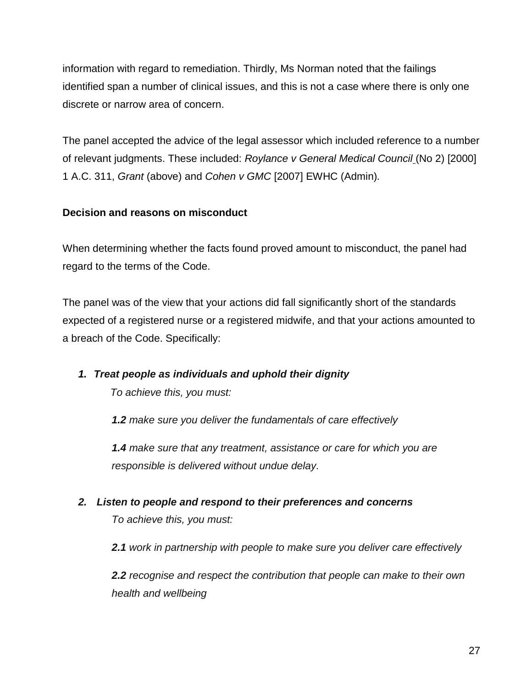information with regard to remediation. Thirdly, Ms Norman noted that the failings identified span a number of clinical issues, and this is not a case where there is only one discrete or narrow area of concern.

The panel accepted the advice of the legal assessor which included reference to a number of relevant judgments. These included: *Roylance v General Medical Council* (No 2) [2000] 1 A.C. 311, *Grant* (above) and *Cohen v GMC* [2007] EWHC (Admin)*.*

## **Decision and reasons on misconduct**

When determining whether the facts found proved amount to misconduct, the panel had regard to the terms of the Code.

The panel was of the view that your actions did fall significantly short of the standards expected of a registered nurse or a registered midwife, and that your actions amounted to a breach of the Code. Specifically:

*1. Treat people as individuals and uphold their dignity*

 *To achieve this, you must:*

*1.2 make sure you deliver the fundamentals of care effectively*

*1.4 make sure that any treatment, assistance or care for which you are responsible is delivered without undue delay.*

*2. Listen to people and respond to their preferences and concerns To achieve this, you must:*

*2.1 work in partnership with people to make sure you deliver care effectively*

*2.2 recognise and respect the contribution that people can make to their own health and wellbeing*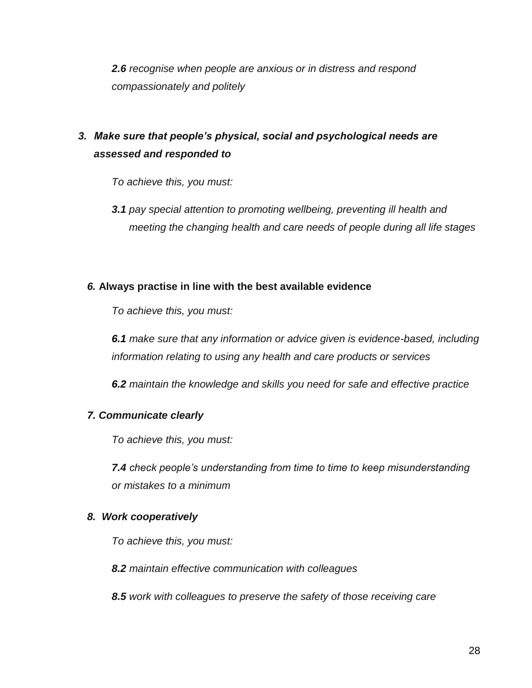*2.6 recognise when people are anxious or in distress and respond compassionately and politely*

# *3. Make sure that people's physical, social and psychological needs are assessed and responded to*

*To achieve this, you must:*

*3.1 pay special attention to promoting wellbeing, preventing ill health and meeting the changing health and care needs of people during all life stages*

## *6.* **Always practise in line with the best available evidence**

*To achieve this, you must:*

*6.1 make sure that any information or advice given is evidence-based, including information relating to using any health and care products or services*

*6.2 maintain the knowledge and skills you need for safe and effective practice*

### *7. Communicate clearly*

*To achieve this, you must:*

*7.4 check people's understanding from time to time to keep misunderstanding or mistakes to a minimum*

### *8. Work cooperatively*

*To achieve this, you must:*

*8.2 maintain effective communication with colleagues*

*8.5 work with colleagues to preserve the safety of those receiving care*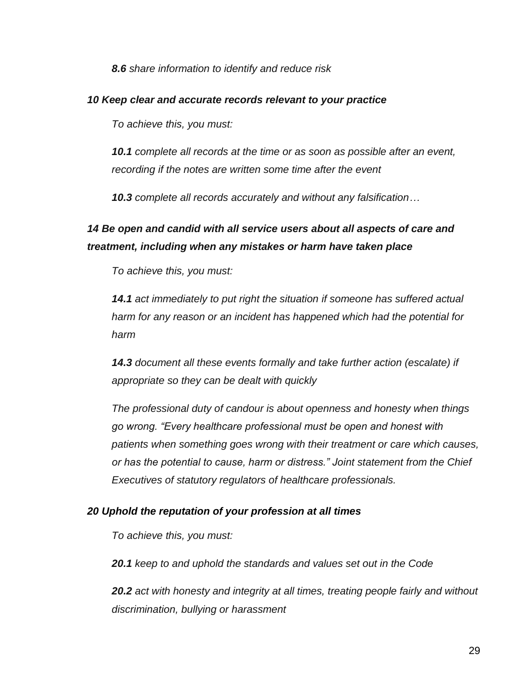*8.6 share information to identify and reduce risk*

### *10 Keep clear and accurate records relevant to your practice*

*To achieve this, you must:*

*10.1 complete all records at the time or as soon as possible after an event, recording if the notes are written some time after the event*

*10.3 complete all records accurately and without any falsification…*

## *14 Be open and candid with all service users about all aspects of care and treatment, including when any mistakes or harm have taken place*

*To achieve this, you must:*

*14.1 act immediately to put right the situation if someone has suffered actual harm for any reason or an incident has happened which had the potential for harm*

*14.3 document all these events formally and take further action (escalate) if appropriate so they can be dealt with quickly*

*The professional duty of candour is about openness and honesty when things go wrong. "Every healthcare professional must be open and honest with patients when something goes wrong with their treatment or care which causes, or has the potential to cause, harm or distress." Joint statement from the Chief Executives of statutory regulators of healthcare professionals.*

### *20 Uphold the reputation of your profession at all times*

*To achieve this, you must:*

*20.1 keep to and uphold the standards and values set out in the Code*

*20.2 act with honesty and integrity at all times, treating people fairly and without discrimination, bullying or harassment*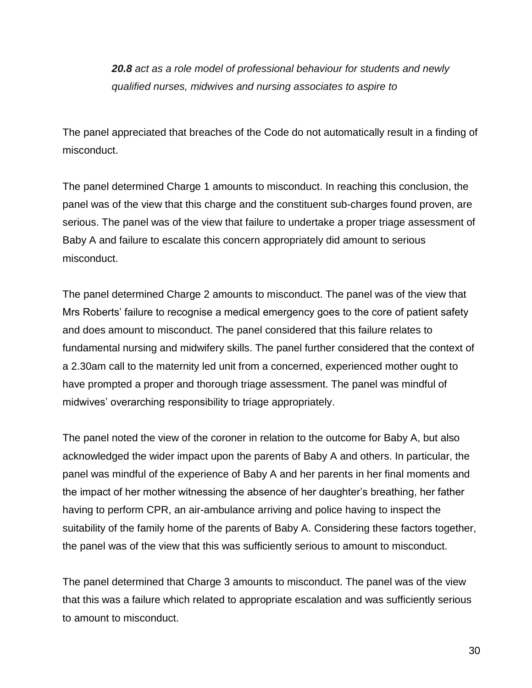*20.8 act as a role model of professional behaviour for students and newly qualified nurses, midwives and nursing associates to aspire to*

The panel appreciated that breaches of the Code do not automatically result in a finding of misconduct.

The panel determined Charge 1 amounts to misconduct. In reaching this conclusion, the panel was of the view that this charge and the constituent sub-charges found proven, are serious. The panel was of the view that failure to undertake a proper triage assessment of Baby A and failure to escalate this concern appropriately did amount to serious misconduct.

The panel determined Charge 2 amounts to misconduct. The panel was of the view that Mrs Roberts' failure to recognise a medical emergency goes to the core of patient safety and does amount to misconduct. The panel considered that this failure relates to fundamental nursing and midwifery skills. The panel further considered that the context of a 2.30am call to the maternity led unit from a concerned, experienced mother ought to have prompted a proper and thorough triage assessment. The panel was mindful of midwives' overarching responsibility to triage appropriately.

The panel noted the view of the coroner in relation to the outcome for Baby A, but also acknowledged the wider impact upon the parents of Baby A and others. In particular, the panel was mindful of the experience of Baby A and her parents in her final moments and the impact of her mother witnessing the absence of her daughter's breathing, her father having to perform CPR, an air-ambulance arriving and police having to inspect the suitability of the family home of the parents of Baby A. Considering these factors together, the panel was of the view that this was sufficiently serious to amount to misconduct.

The panel determined that Charge 3 amounts to misconduct. The panel was of the view that this was a failure which related to appropriate escalation and was sufficiently serious to amount to misconduct.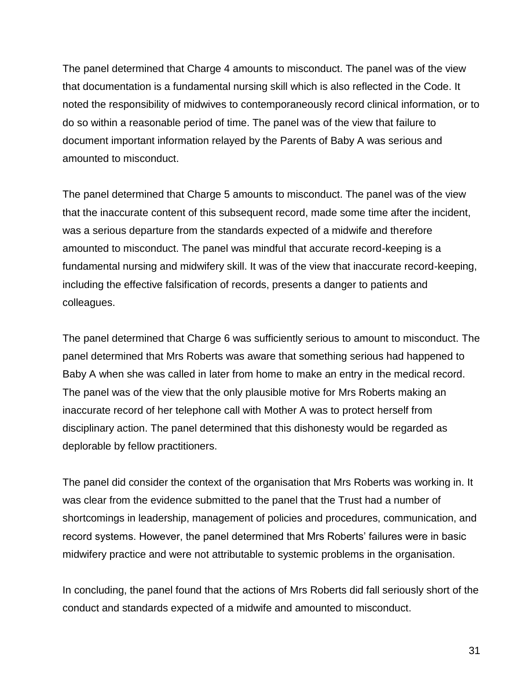The panel determined that Charge 4 amounts to misconduct. The panel was of the view that documentation is a fundamental nursing skill which is also reflected in the Code. It noted the responsibility of midwives to contemporaneously record clinical information, or to do so within a reasonable period of time. The panel was of the view that failure to document important information relayed by the Parents of Baby A was serious and amounted to misconduct.

The panel determined that Charge 5 amounts to misconduct. The panel was of the view that the inaccurate content of this subsequent record, made some time after the incident, was a serious departure from the standards expected of a midwife and therefore amounted to misconduct. The panel was mindful that accurate record-keeping is a fundamental nursing and midwifery skill. It was of the view that inaccurate record-keeping, including the effective falsification of records, presents a danger to patients and colleagues.

The panel determined that Charge 6 was sufficiently serious to amount to misconduct. The panel determined that Mrs Roberts was aware that something serious had happened to Baby A when she was called in later from home to make an entry in the medical record. The panel was of the view that the only plausible motive for Mrs Roberts making an inaccurate record of her telephone call with Mother A was to protect herself from disciplinary action. The panel determined that this dishonesty would be regarded as deplorable by fellow practitioners.

The panel did consider the context of the organisation that Mrs Roberts was working in. It was clear from the evidence submitted to the panel that the Trust had a number of shortcomings in leadership, management of policies and procedures, communication, and record systems. However, the panel determined that Mrs Roberts' failures were in basic midwifery practice and were not attributable to systemic problems in the organisation.

In concluding, the panel found that the actions of Mrs Roberts did fall seriously short of the conduct and standards expected of a midwife and amounted to misconduct.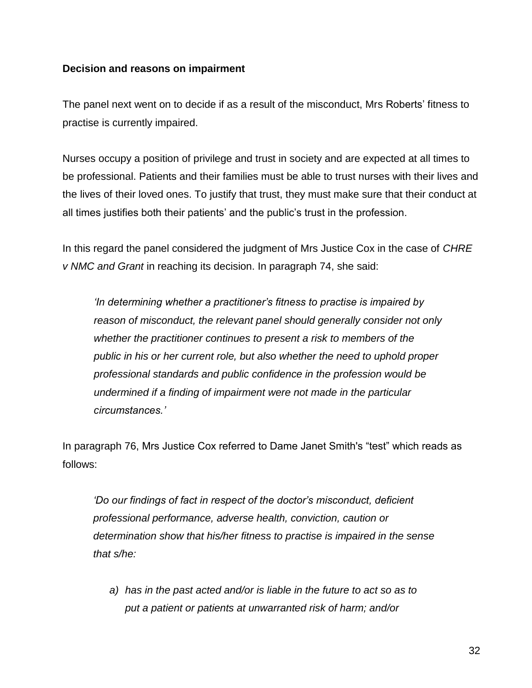### **Decision and reasons on impairment**

The panel next went on to decide if as a result of the misconduct, Mrs Roberts' fitness to practise is currently impaired.

Nurses occupy a position of privilege and trust in society and are expected at all times to be professional. Patients and their families must be able to trust nurses with their lives and the lives of their loved ones. To justify that trust, they must make sure that their conduct at all times justifies both their patients' and the public's trust in the profession.

In this regard the panel considered the judgment of Mrs Justice Cox in the case of *CHRE v NMC and Grant* in reaching its decision. In paragraph 74, she said:

*'In determining whether a practitioner's fitness to practise is impaired by reason of misconduct, the relevant panel should generally consider not only whether the practitioner continues to present a risk to members of the public in his or her current role, but also whether the need to uphold proper professional standards and public confidence in the profession would be undermined if a finding of impairment were not made in the particular circumstances.'*

In paragraph 76, Mrs Justice Cox referred to Dame Janet Smith's "test" which reads as follows:

*'Do our findings of fact in respect of the doctor's misconduct, deficient professional performance, adverse health, conviction, caution or determination show that his/her fitness to practise is impaired in the sense that s/he:*

*a) has in the past acted and/or is liable in the future to act so as to put a patient or patients at unwarranted risk of harm; and/or*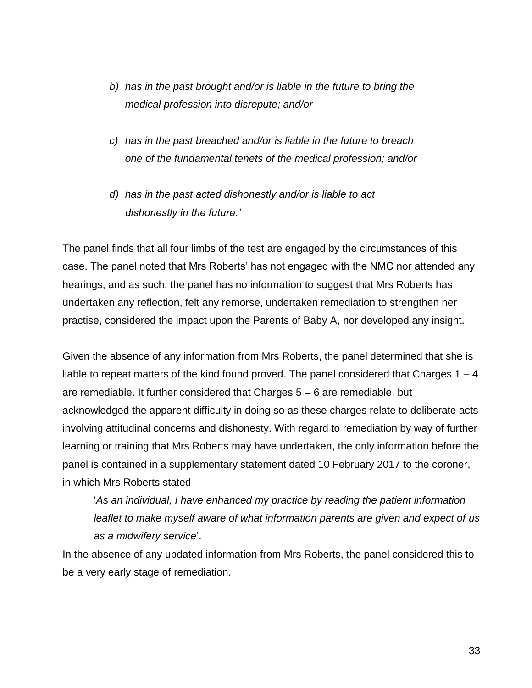- *b) has in the past brought and/or is liable in the future to bring the medical profession into disrepute; and/or*
- *c) has in the past breached and/or is liable in the future to breach one of the fundamental tenets of the medical profession; and/or*
- *d) has in the past acted dishonestly and/or is liable to act dishonestly in the future.'*

The panel finds that all four limbs of the test are engaged by the circumstances of this case. The panel noted that Mrs Roberts' has not engaged with the NMC nor attended any hearings, and as such, the panel has no information to suggest that Mrs Roberts has undertaken any reflection, felt any remorse, undertaken remediation to strengthen her practise, considered the impact upon the Parents of Baby A, nor developed any insight.

Given the absence of any information from Mrs Roberts, the panel determined that she is liable to repeat matters of the kind found proved. The panel considered that Charges  $1 - 4$ are remediable. It further considered that Charges 5 – 6 are remediable, but acknowledged the apparent difficulty in doing so as these charges relate to deliberate acts involving attitudinal concerns and dishonesty. With regard to remediation by way of further learning or training that Mrs Roberts may have undertaken, the only information before the panel is contained in a supplementary statement dated 10 February 2017 to the coroner, in which Mrs Roberts stated

'*As an individual, I have enhanced my practice by reading the patient information leaflet to make myself aware of what information parents are given and expect of us as a midwifery service*'.

In the absence of any updated information from Mrs Roberts, the panel considered this to be a very early stage of remediation.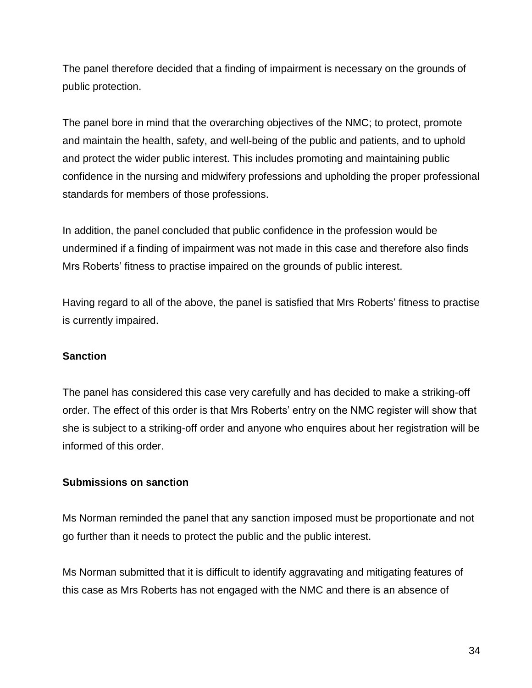The panel therefore decided that a finding of impairment is necessary on the grounds of public protection.

The panel bore in mind that the overarching objectives of the NMC; to protect, promote and maintain the health, safety, and well-being of the public and patients, and to uphold and protect the wider public interest. This includes promoting and maintaining public confidence in the nursing and midwifery professions and upholding the proper professional standards for members of those professions.

In addition, the panel concluded that public confidence in the profession would be undermined if a finding of impairment was not made in this case and therefore also finds Mrs Roberts' fitness to practise impaired on the grounds of public interest.

Having regard to all of the above, the panel is satisfied that Mrs Roberts' fitness to practise is currently impaired.

## **Sanction**

The panel has considered this case very carefully and has decided to make a striking-off order. The effect of this order is that Mrs Roberts' entry on the NMC register will show that she is subject to a striking-off order and anyone who enquires about her registration will be informed of this order.

## **Submissions on sanction**

Ms Norman reminded the panel that any sanction imposed must be proportionate and not go further than it needs to protect the public and the public interest.

Ms Norman submitted that it is difficult to identify aggravating and mitigating features of this case as Mrs Roberts has not engaged with the NMC and there is an absence of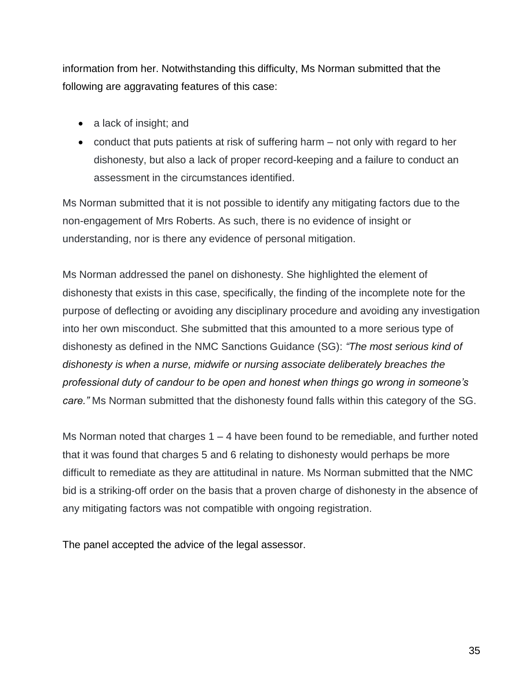information from her. Notwithstanding this difficulty, Ms Norman submitted that the following are aggravating features of this case:

- a lack of insight; and
- conduct that puts patients at risk of suffering harm not only with regard to her dishonesty, but also a lack of proper record-keeping and a failure to conduct an assessment in the circumstances identified.

Ms Norman submitted that it is not possible to identify any mitigating factors due to the non-engagement of Mrs Roberts. As such, there is no evidence of insight or understanding, nor is there any evidence of personal mitigation.

Ms Norman addressed the panel on dishonesty. She highlighted the element of dishonesty that exists in this case, specifically, the finding of the incomplete note for the purpose of deflecting or avoiding any disciplinary procedure and avoiding any investigation into her own misconduct. She submitted that this amounted to a more serious type of dishonesty as defined in the NMC Sanctions Guidance (SG): *"The most serious kind of dishonesty is when a nurse, midwife or nursing associate deliberately breaches the professional duty of candour to be open and honest when things go wrong in someone's care."* Ms Norman submitted that the dishonesty found falls within this category of the SG.

Ms Norman noted that charges 1 – 4 have been found to be remediable, and further noted that it was found that charges 5 and 6 relating to dishonesty would perhaps be more difficult to remediate as they are attitudinal in nature. Ms Norman submitted that the NMC bid is a striking-off order on the basis that a proven charge of dishonesty in the absence of any mitigating factors was not compatible with ongoing registration.

The panel accepted the advice of the legal assessor.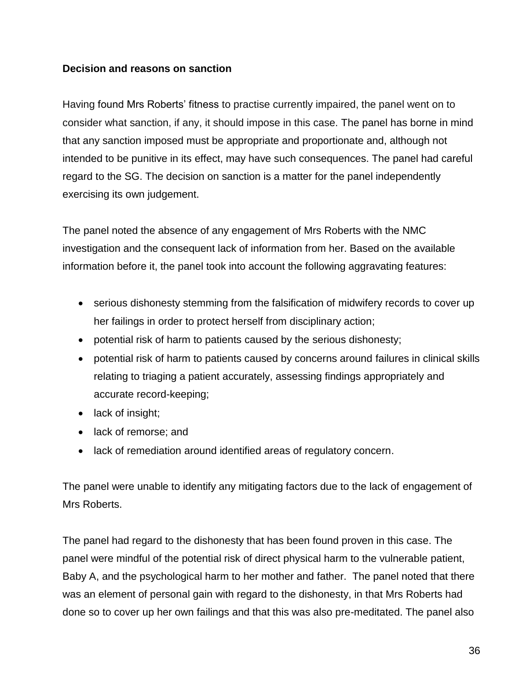### **Decision and reasons on sanction**

Having found Mrs Roberts' fitness to practise currently impaired, the panel went on to consider what sanction, if any, it should impose in this case. The panel has borne in mind that any sanction imposed must be appropriate and proportionate and, although not intended to be punitive in its effect, may have such consequences. The panel had careful regard to the SG. The decision on sanction is a matter for the panel independently exercising its own judgement.

The panel noted the absence of any engagement of Mrs Roberts with the NMC investigation and the consequent lack of information from her. Based on the available information before it, the panel took into account the following aggravating features:

- serious dishonesty stemming from the falsification of midwifery records to cover up her failings in order to protect herself from disciplinary action;
- potential risk of harm to patients caused by the serious dishonesty;
- potential risk of harm to patients caused by concerns around failures in clinical skills relating to triaging a patient accurately, assessing findings appropriately and accurate record-keeping;
- lack of insight;
- lack of remorse; and
- lack of remediation around identified areas of regulatory concern.

The panel were unable to identify any mitigating factors due to the lack of engagement of Mrs Roberts.

The panel had regard to the dishonesty that has been found proven in this case. The panel were mindful of the potential risk of direct physical harm to the vulnerable patient, Baby A, and the psychological harm to her mother and father. The panel noted that there was an element of personal gain with regard to the dishonesty, in that Mrs Roberts had done so to cover up her own failings and that this was also pre-meditated. The panel also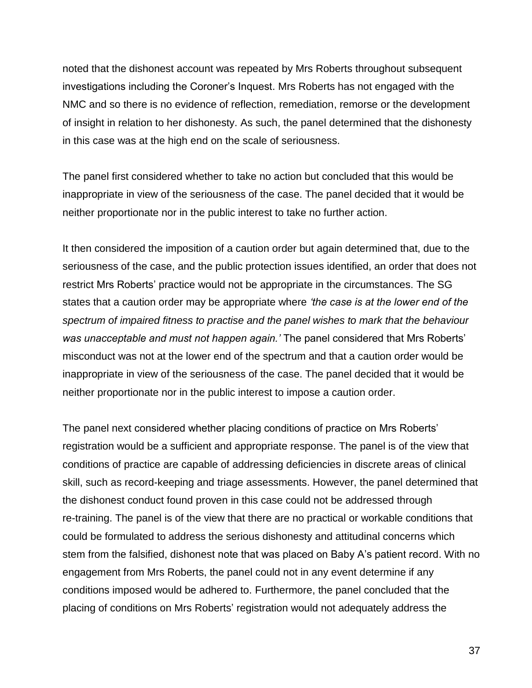noted that the dishonest account was repeated by Mrs Roberts throughout subsequent investigations including the Coroner's Inquest. Mrs Roberts has not engaged with the NMC and so there is no evidence of reflection, remediation, remorse or the development of insight in relation to her dishonesty. As such, the panel determined that the dishonesty in this case was at the high end on the scale of seriousness.

The panel first considered whether to take no action but concluded that this would be inappropriate in view of the seriousness of the case. The panel decided that it would be neither proportionate nor in the public interest to take no further action.

It then considered the imposition of a caution order but again determined that, due to the seriousness of the case, and the public protection issues identified, an order that does not restrict Mrs Roberts' practice would not be appropriate in the circumstances. The SG states that a caution order may be appropriate where *'the case is at the lower end of the spectrum of impaired fitness to practise and the panel wishes to mark that the behaviour was unacceptable and must not happen again.'* The panel considered that Mrs Roberts' misconduct was not at the lower end of the spectrum and that a caution order would be inappropriate in view of the seriousness of the case. The panel decided that it would be neither proportionate nor in the public interest to impose a caution order.

The panel next considered whether placing conditions of practice on Mrs Roberts' registration would be a sufficient and appropriate response. The panel is of the view that conditions of practice are capable of addressing deficiencies in discrete areas of clinical skill, such as record-keeping and triage assessments. However, the panel determined that the dishonest conduct found proven in this case could not be addressed through re-training. The panel is of the view that there are no practical or workable conditions that could be formulated to address the serious dishonesty and attitudinal concerns which stem from the falsified, dishonest note that was placed on Baby A's patient record. With no engagement from Mrs Roberts, the panel could not in any event determine if any conditions imposed would be adhered to. Furthermore, the panel concluded that the placing of conditions on Mrs Roberts' registration would not adequately address the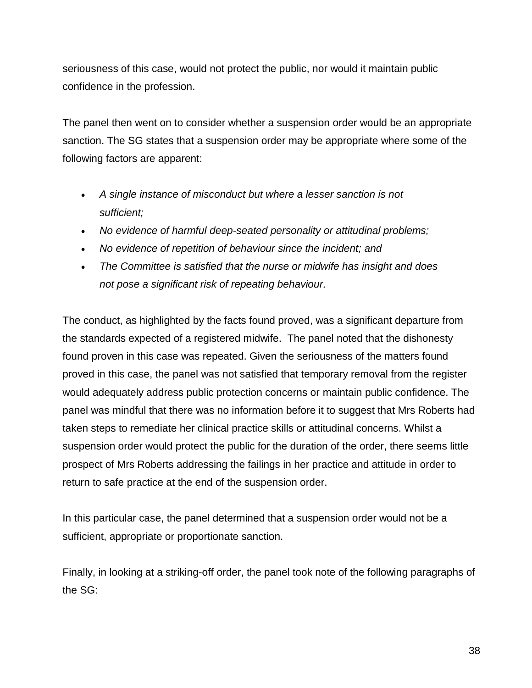seriousness of this case, would not protect the public, nor would it maintain public confidence in the profession.

The panel then went on to consider whether a suspension order would be an appropriate sanction. The SG states that a suspension order may be appropriate where some of the following factors are apparent:

- *A single instance of misconduct but where a lesser sanction is not sufficient;*
- *No evidence of harmful deep-seated personality or attitudinal problems;*
- *No evidence of repetition of behaviour since the incident; and*
- *The Committee is satisfied that the nurse or midwife has insight and does not pose a significant risk of repeating behaviour.*

The conduct, as highlighted by the facts found proved, was a significant departure from the standards expected of a registered midwife. The panel noted that the dishonesty found proven in this case was repeated. Given the seriousness of the matters found proved in this case, the panel was not satisfied that temporary removal from the register would adequately address public protection concerns or maintain public confidence. The panel was mindful that there was no information before it to suggest that Mrs Roberts had taken steps to remediate her clinical practice skills or attitudinal concerns. Whilst a suspension order would protect the public for the duration of the order, there seems little prospect of Mrs Roberts addressing the failings in her practice and attitude in order to return to safe practice at the end of the suspension order.

In this particular case, the panel determined that a suspension order would not be a sufficient, appropriate or proportionate sanction.

Finally, in looking at a striking-off order, the panel took note of the following paragraphs of the SG: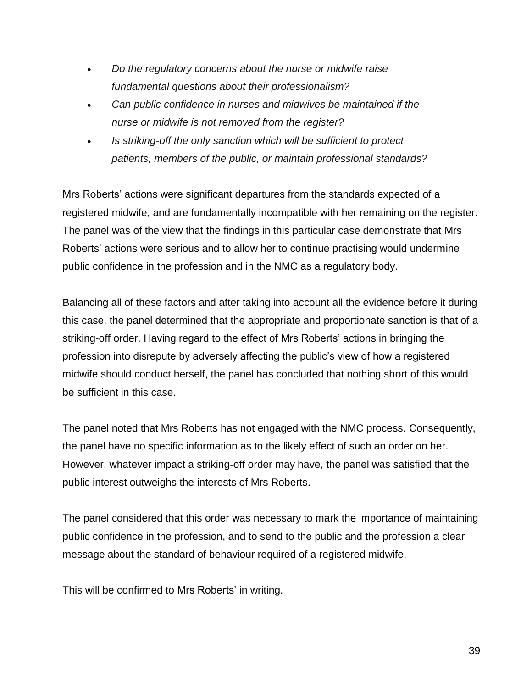- *Do the regulatory concerns about the nurse or midwife raise fundamental questions about their professionalism?*
- *Can public confidence in nurses and midwives be maintained if the nurse or midwife is not removed from the register?*
- *Is striking-off the only sanction which will be sufficient to protect patients, members of the public, or maintain professional standards?*

Mrs Roberts' actions were significant departures from the standards expected of a registered midwife, and are fundamentally incompatible with her remaining on the register. The panel was of the view that the findings in this particular case demonstrate that Mrs Roberts' actions were serious and to allow her to continue practising would undermine public confidence in the profession and in the NMC as a regulatory body.

Balancing all of these factors and after taking into account all the evidence before it during this case, the panel determined that the appropriate and proportionate sanction is that of a striking-off order. Having regard to the effect of Mrs Roberts' actions in bringing the profession into disrepute by adversely affecting the public's view of how a registered midwife should conduct herself, the panel has concluded that nothing short of this would be sufficient in this case.

The panel noted that Mrs Roberts has not engaged with the NMC process. Consequently, the panel have no specific information as to the likely effect of such an order on her. However, whatever impact a striking-off order may have, the panel was satisfied that the public interest outweighs the interests of Mrs Roberts.

The panel considered that this order was necessary to mark the importance of maintaining public confidence in the profession, and to send to the public and the profession a clear message about the standard of behaviour required of a registered midwife.

This will be confirmed to Mrs Roberts' in writing.